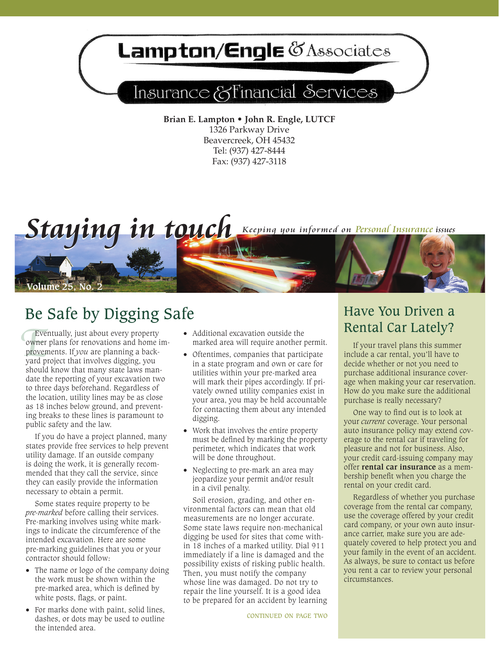## Lampton/Engle & Associates

## Insurance & Financial Services

**Brian E. Lampton • John R. Engle, LUTCF** 1326 Parkway Drive Beavercreek, OH 45432 Tel: (937) 427-8444 Fax: (937) 427-3118



## Be Safe by Digging Safe Be Base and Have You Driven a Have You Driven a Rental Car Lately?

Ever<br>
owner<br>
provem<br>
yard proved Eventually, just about every property owner plans for renovations and home improvements. If *you* are planning a backyard project that involves digging, you should know that many state laws mandate the reporting of your excavation two to three days beforehand. Regardless of the location, utility lines may be as close as 18 inches below ground, and preventing breaks to these lines is paramount to public safety and the law.

If you do have a project planned, many states provide free services to help prevent utility damage. If an outside company is doing the work, it is generally recommended that they call the service, since they can easily provide the information necessary to obtain a permit.

Some states require property to be *pre-marked* before calling their services. Pre-marking involves using white markings to indicate the circumference of the intended excavation. Here are some pre-marking guidelines that you or your contractor should follow:

- The name or logo of the company doing the work must be shown within the pre-marked area, which is defined by white posts, flags, or paint.
- · For marks done with paint, solid lines, dashes, or dots may be used to outline the intended area.
- · Additional excavation outside the marked area will require another permit.
- · Oftentimes, companies that participate in a state program and own or care for utilities within your pre-marked area will mark their pipes accordingly. If privately owned utility companies exist in your area, you may be held accountable for contacting them about any intended digging.
- · Work that involves the entire property must be defined by marking the property perimeter, which indicates that work will be done throughout.
- · Neglecting to pre-mark an area may jeopardize your permit and/or result in a civil penalty.

Soil erosion, grading, and other environmental factors can mean that old measurements are no longer accurate. Some state laws require non-mechanical digging be used for sites that come within 18 inches of a marked utility. Dial 911 immediately if a line is damaged and the possibility exists of risking public health. Then, you must notify the company whose line was damaged. Do not try to repair the line yourself. It is a good idea to be prepared for an accident by learning

# Have You Driven a

If your travel plans this summer include a car rental, you'll have to decide whether or not you need to purchase additional insurance coverage when making your car reservation. How do you make sure the additional purchase is really necessary?

One way to find out is to look at your *current* coverage. Your personal auto insurance policy may extend coverage to the rental car if traveling for pleasure and not for business. Also, your credit card-issuing company may offer **rental car insurance** as a membership benefit when you charge the rental on your credit card.

Regardless of whether you purchase coverage from the rental car company, use the coverage offered by your credit card company, or your own auto insurance carrier, make sure you are adequately covered to help protect you and your family in the event of an accident. As always, be sure to contact us before you rent a car to review your personal circumstances.